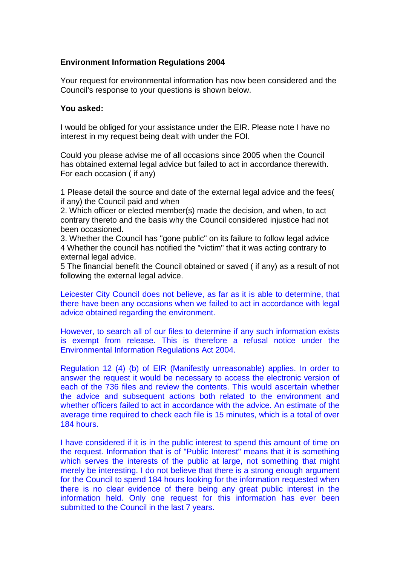## **Environment Information Regulations 2004**

Your request for environmental information has now been considered and the Council's response to your questions is shown below.

## **You asked:**

I would be obliged for your assistance under the EIR. Please note I have no interest in my request being dealt with under the FOI.

Could you please advise me of all occasions since 2005 when the Council has obtained external legal advice but failed to act in accordance therewith. For each occasion ( if any)

1 Please detail the source and date of the external legal advice and the fees( if any) the Council paid and when

2. Which officer or elected member(s) made the decision, and when, to act contrary thereto and the basis why the Council considered injustice had not been occasioned.

3. Whether the Council has "gone public" on its failure to follow legal advice 4 Whether the council has notified the "victim" that it was acting contrary to external legal advice.

5 The financial benefit the Council obtained or saved ( if any) as a result of not following the external legal advice.

Leicester City Council does not believe, as far as it is able to determine, that there have been any occasions when we failed to act in accordance with legal advice obtained regarding the environment.

However, to search all of our files to determine if any such information exists is exempt from release. This is therefore a refusal notice under the Environmental Information Regulations Act 2004.

Regulation 12 (4) (b) of EIR (Manifestly unreasonable) applies. In order to answer the request it would be necessary to access the electronic version of each of the 736 files and review the contents. This would ascertain whether the advice and subsequent actions both related to the environment and whether officers failed to act in accordance with the advice. An estimate of the average time required to check each file is 15 minutes, which is a total of over 184 hours.

I have considered if it is in the public interest to spend this amount of time on the request. Information that is of "Public Interest" means that it is something which serves the interests of the public at large, not something that might merely be interesting. I do not believe that there is a strong enough argument for the Council to spend 184 hours looking for the information requested when there is no clear evidence of there being any great public interest in the information held. Only one request for this information has ever been submitted to the Council in the last 7 years.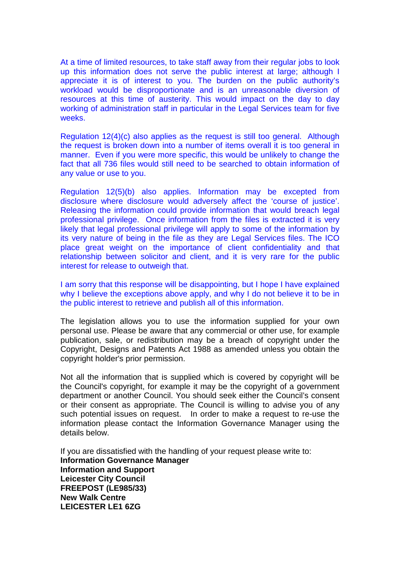At a time of limited resources, to take staff away from their regular jobs to look up this information does not serve the public interest at large; although I appreciate it is of interest to you. The burden on the public authority's workload would be disproportionate and is an unreasonable diversion of resources at this time of austerity. This would impact on the day to day working of administration staff in particular in the Legal Services team for five weeks.

Regulation 12(4)(c) also applies as the request is still too general. Although the request is broken down into a number of items overall it is too general in manner. Even if you were more specific, this would be unlikely to change the fact that all 736 files would still need to be searched to obtain information of any value or use to you.

Regulation 12(5)(b) also applies. Information may be excepted from disclosure where disclosure would adversely affect the 'course of justice'. Releasing the information could provide information that would breach legal professional privilege. Once information from the files is extracted it is very likely that legal professional privilege will apply to some of the information by its very nature of being in the file as they are Legal Services files. The ICO place great weight on the importance of client confidentiality and that relationship between solicitor and client, and it is very rare for the public interest for release to outweigh that.

I am sorry that this response will be disappointing, but I hope I have explained why I believe the exceptions above apply, and why I do not believe it to be in the public interest to retrieve and publish all of this information.

The legislation allows you to use the information supplied for your own personal use. Please be aware that any commercial or other use, for example publication, sale, or redistribution may be a breach of copyright under the Copyright, Designs and Patents Act 1988 as amended unless you obtain the copyright holder's prior permission.

Not all the information that is supplied which is covered by copyright will be the Council's copyright, for example it may be the copyright of a government department or another Council. You should seek either the Council's consent or their consent as appropriate. The Council is willing to advise you of any such potential issues on request. In order to make a request to re-use the information please contact the Information Governance Manager using the details below.

If you are dissatisfied with the handling of your request please write to: **Information Governance Manager Information and Support Leicester City Council FREEPOST (LE985/33) New Walk Centre LEICESTER LE1 6ZG**